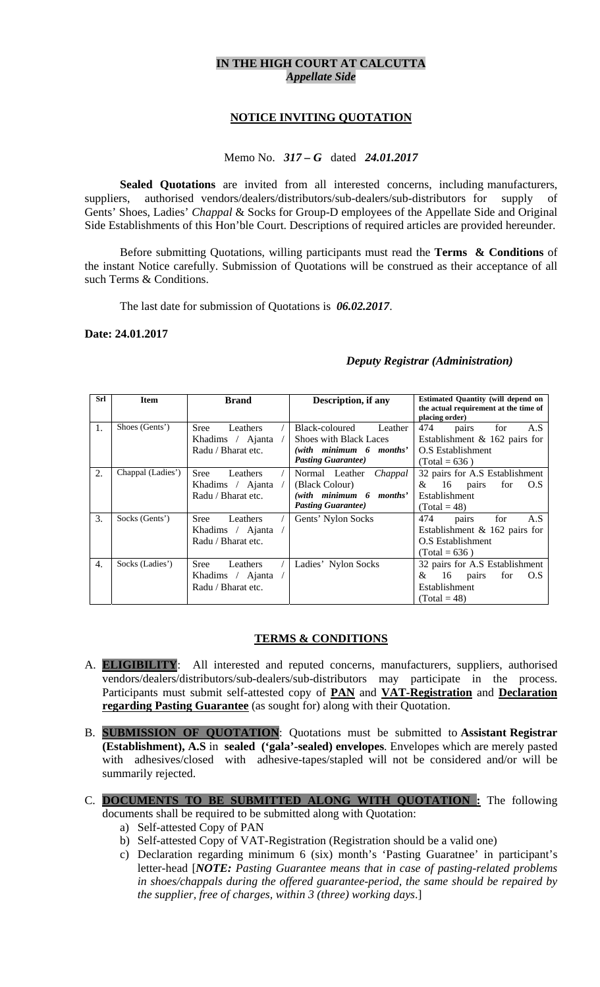# **IN THE HIGH COURT AT CALCUTTA**  *Appellate Side*

## **NOTICE INVITING QUOTATION**

# Memo No. *317 – G* dated *24.01.2017*

**Sealed Quotations** are invited from all interested concerns, including manufacturers, suppliers, authorised vendors/dealers/distributors/sub-dealers/sub-distributors for supply of Gents' Shoes, Ladies' *Chappal* & Socks for Group-D employees of the Appellate Side and Original Side Establishments of this Hon'ble Court. Descriptions of required articles are provided hereunder.

Before submitting Quotations, willing participants must read the **Terms & Conditions** of the instant Notice carefully. Submission of Quotations will be construed as their acceptance of all such Terms & Conditions.

The last date for submission of Quotations is *06.02.2017*.

#### **Date: 24.01.2017**

## *Deputy Registrar (Administration)*

| Srl              | <b>Item</b>       | <b>Brand</b>            | Description, if any           | <b>Estimated Quantity (will depend on</b><br>the actual requirement at the time of<br>placing order) |
|------------------|-------------------|-------------------------|-------------------------------|------------------------------------------------------------------------------------------------------|
| 1.               | Shoes (Gents')    | Leathers<br><b>Sree</b> | Black-coloured<br>Leather     | 474<br>A.S<br>for<br>pairs                                                                           |
|                  |                   | Khadims / Ajanta        | <b>Shoes with Black Laces</b> | Establishment & 162 pairs for                                                                        |
|                  |                   | Radu / Bharat etc.      | (with minimum 6 months'       | O.S Establishment                                                                                    |
|                  |                   |                         | <b>Pasting Guarantee)</b>     | $(Total = 636)$                                                                                      |
| 2.               | Chappal (Ladies') | <b>Sree</b><br>Leathers | Normal Leather<br>Chappal     | 32 pairs for A.S Establishment                                                                       |
|                  |                   | Khadims / Ajanta        | (Black Colour)                | &<br>- 16<br>pairs<br>for<br>O.S                                                                     |
|                  |                   | Radu / Bharat etc.      | (with minimum 6 months'       | <b>Establishment</b>                                                                                 |
|                  |                   |                         | <b>Pasting Guarantee</b> )    | $(Total = 48)$                                                                                       |
| 3.               | Socks (Gents')    | Sree<br>Leathers        | Gents' Nylon Socks            | 474<br>for<br>A.S<br>pairs                                                                           |
|                  |                   | Khadims / Ajanta        |                               | Establishment $& 162$ pairs for                                                                      |
|                  |                   | Radu / Bharat etc.      |                               | O.S Establishment                                                                                    |
|                  |                   |                         |                               | $(Total = 636)$                                                                                      |
| $\overline{4}$ . | Socks (Ladies')   | Sree<br>Leathers        | Ladies' Nylon Socks           | 32 pairs for A.S Establishment                                                                       |
|                  |                   | Khadims / Ajanta        |                               | 16<br>&<br>O.S<br>pairs<br>for                                                                       |
|                  |                   | Radu / Bharat etc.      |                               | Establishment                                                                                        |
|                  |                   |                         |                               | $(Total = 48)$                                                                                       |

## **TERMS & CONDITIONS**

- A. **ELIGIBILITY**: All interested and reputed concerns, manufacturers, suppliers, authorised vendors/dealers/distributors/sub-dealers/sub-distributors may participate in the process. Participants must submit self-attested copy of **PAN** and **VAT-Registration** and **Declaration regarding Pasting Guarantee** (as sought for) along with their Quotation.
- B. **SUBMISSION OF QUOTATION**: Quotations must be submitted to **Assistant Registrar (Establishment), A.S** in **sealed ('gala'-sealed) envelopes**. Envelopes which are merely pasted with adhesives/closed with adhesive-tapes/stapled will not be considered and/or will be summarily rejected.
- C. **DOCUMENTS TO BE SUBMITTED ALONG WITH QUOTATION :** The following documents shall be required to be submitted along with Quotation:
	- a) Self-attested Copy of PAN
	- b) Self-attested Copy of VAT-Registration (Registration should be a valid one)
	- c) Declaration regarding minimum 6 (six) month's 'Pasting Guaratnee' in participant's letter-head [*NOTE: Pasting Guarantee means that in case of pasting-related problems in shoes/chappals during the offered guarantee-period, the same should be repaired by the supplier, free of charges, within 3 (three) working days*.]